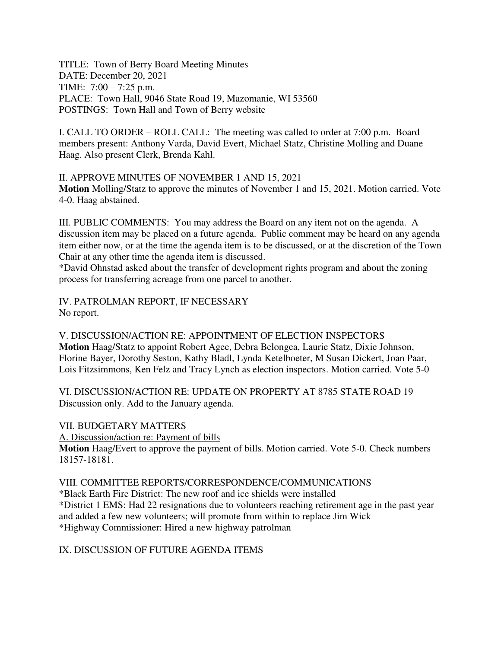TITLE: Town of Berry Board Meeting Minutes DATE: December 20, 2021 TIME: 7:00 – 7:25 p.m. PLACE: Town Hall, 9046 State Road 19, Mazomanie, WI 53560 POSTINGS: Town Hall and Town of Berry website

I. CALL TO ORDER – ROLL CALL: The meeting was called to order at 7:00 p.m. Board members present: Anthony Varda, David Evert, Michael Statz, Christine Molling and Duane Haag. Also present Clerk, Brenda Kahl.

II. APPROVE MINUTES OF NOVEMBER 1 AND 15, 2021 **Motion** Molling/Statz to approve the minutes of November 1 and 15, 2021. Motion carried. Vote 4-0. Haag abstained.

III. PUBLIC COMMENTS: You may address the Board on any item not on the agenda. A discussion item may be placed on a future agenda. Public comment may be heard on any agenda item either now, or at the time the agenda item is to be discussed, or at the discretion of the Town Chair at any other time the agenda item is discussed.

\*David Ohnstad asked about the transfer of development rights program and about the zoning process for transferring acreage from one parcel to another.

IV. PATROLMAN REPORT, IF NECESSARY No report.

V. DISCUSSION/ACTION RE: APPOINTMENT OF ELECTION INSPECTORS **Motion** Haag/Statz to appoint Robert Agee, Debra Belongea, Laurie Statz, Dixie Johnson, Florine Bayer, Dorothy Seston, Kathy Bladl, Lynda Ketelboeter, M Susan Dickert, Joan Paar, Lois Fitzsimmons, Ken Felz and Tracy Lynch as election inspectors. Motion carried. Vote 5-0

VI. DISCUSSION/ACTION RE: UPDATE ON PROPERTY AT 8785 STATE ROAD 19 Discussion only. Add to the January agenda.

## VII. BUDGETARY MATTERS

A. Discussion/action re: Payment of bills

**Motion** Haag/Evert to approve the payment of bills. Motion carried. Vote 5-0. Check numbers 18157-18181.

## VIII. COMMITTEE REPORTS/CORRESPONDENCE/COMMUNICATIONS

\*Black Earth Fire District: The new roof and ice shields were installed \*District 1 EMS: Had 22 resignations due to volunteers reaching retirement age in the past year and added a few new volunteers; will promote from within to replace Jim Wick \*Highway Commissioner: Hired a new highway patrolman

IX. DISCUSSION OF FUTURE AGENDA ITEMS